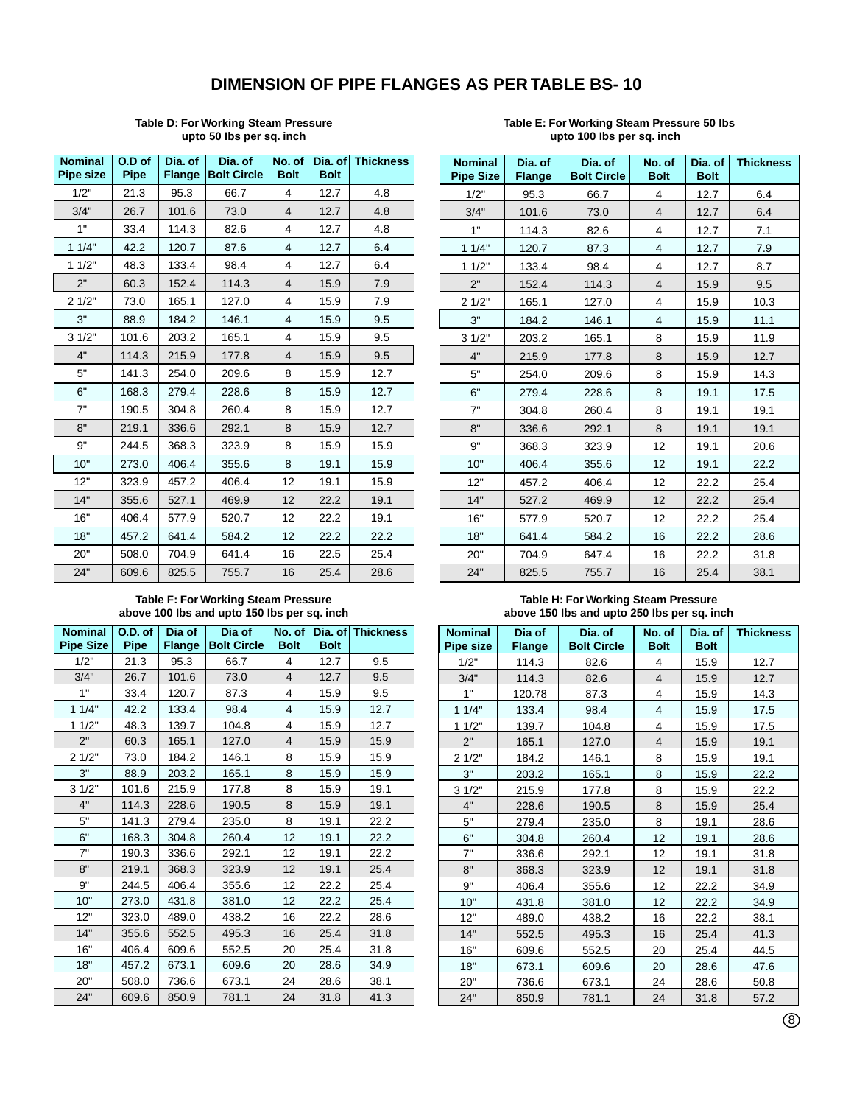## **DIMENSION OF PIPE FLANGES AS PER TABLE BS- 10**

#### **Table D: For Working Steam Pressure upto 50 Ibs per sq. inch**

| <b>Nominal</b><br><b>Pipe size</b> | O.D of<br><b>Pipe</b> | Dia, of<br><b>Flange</b> | Dia, of<br><b>Bolt Circle</b> | No. of<br><b>Bolt</b> | <b>Bolt</b> | Dia. of Thickness |
|------------------------------------|-----------------------|--------------------------|-------------------------------|-----------------------|-------------|-------------------|
| 1/2"                               | 21.3                  | 95.3                     | 66.7                          | 4                     | 12.7        | 4.8               |
| 3/4"                               | 26.7                  | 101.6                    | 73.0                          | 4                     | 12.7        | 4.8               |
| 1"                                 | 33.4                  | 114.3                    | 82.6                          | 4                     | 12.7        | 4.8               |
| 11/4"                              | 42.2                  | 120.7                    | 87.6                          | $\overline{4}$        | 12.7        | 6.4               |
| 11/2"                              | 48.3                  | 133.4                    | 98.4                          | 4                     | 12.7        | 6.4               |
| 2"                                 | 60.3                  | 152.4                    | 114.3                         | $\overline{4}$        | 15.9        | 7.9               |
| 21/2"                              | 73.0                  | 165.1                    | 127.0                         | 4                     | 15.9        | 7.9               |
| 3"                                 | 88.9                  | 184.2                    | 146.1                         | 4                     | 15.9        | 9.5               |
| 31/2"                              | 101.6                 | 203.2                    | 165.1                         | 4                     | 15.9        | 9.5               |
| 4"                                 | 114.3                 | 215.9                    | 177.8                         | $\overline{4}$        | 15.9        | 9.5               |
| 5"                                 | 141.3                 | 254.0                    | 209.6                         | 8                     | 15.9        | 12.7              |
| 6"                                 | 168.3                 | 279.4                    | 228.6                         | 8                     | 15.9        | 12.7              |
| 7"                                 | 190.5                 | 304.8                    | 260.4                         | 8                     | 15.9        | 12.7              |
| 8"                                 | 219.1                 | 336.6                    | 292.1                         | 8                     | 15.9        | 12.7              |
| 9"                                 | 244.5                 | 368.3                    | 323.9                         | 8                     | 15.9        | 15.9              |
| 10"                                | 273.0                 | 406.4                    | 355.6                         | 8                     | 19.1        | 15.9              |
| 12"                                | 323.9                 | 457.2                    | 406.4                         | 12                    | 19.1        | 15.9              |
| 14"                                | 355.6                 | 527.1                    | 469.9                         | 12                    | 22.2        | 19.1              |
| 16"                                | 406.4                 | 577.9                    | 520.7                         | 12                    | 22.2        | 19.1              |
| 18"                                | 457.2                 | 641.4                    | 584.2                         | 12                    | 22.2        | 22.2              |
| 20"                                | 508.0                 | 704.9                    | 641.4                         | 16                    | 22.5        | 25.4              |
| 24"                                | 609.6                 | 825.5                    | 755.7                         | 16                    | 25.4        | 28.6              |

#### **Table E: For Working Steam Pressure 50 Ibs upto 100 Ibs per sq. inch**

| <b>Nominal</b><br><b>Pipe Size</b> | Dia. of<br><b>Flange</b> | Dia. of<br><b>Bolt Circle</b> | No. of<br><b>Bolt</b> | Dia, of<br><b>Bolt</b> | <b>Thickness</b> |
|------------------------------------|--------------------------|-------------------------------|-----------------------|------------------------|------------------|
| 1/2"                               | 95.3                     | 66.7                          | 4                     | 12.7                   | 6.4              |
| 3/4"                               | 101.6                    | 73.0                          | 4                     | 12.7                   | 6.4              |
| 1"                                 | 114.3                    | 82.6                          | 4                     | 12.7                   | 7.1              |
| 11/4"                              | 120.7                    | 87.3                          | 4                     | 12.7                   | 7.9              |
| 11/2"                              | 133.4                    | 98.4                          | 4                     | 12.7                   | 8.7              |
| 2"                                 | 152.4                    | 114.3                         | $\overline{4}$        | 15.9                   | 9.5              |
| 21/2"                              | 165.1                    | 127.0                         | 4                     | 15.9                   | 10.3             |
| 3"                                 | 184.2                    | 146.1                         | 4                     | 15.9                   | 11.1             |
| 31/2"                              | 203.2                    | 165.1                         | 8                     | 15.9                   | 11.9             |
| 4"                                 | 215.9                    | 177.8                         | 8                     | 15.9                   | 12.7             |
| 5"                                 | 254.0                    | 209.6                         | 8                     | 15.9                   | 14.3             |
| 6"                                 | 279.4                    | 228.6                         | 8                     | 19.1                   | 17.5             |
| 7"                                 | 304.8                    | 260.4                         | 8                     | 19.1                   | 19.1             |
| 8"                                 | 336.6                    | 292.1                         | 8                     | 19.1                   | 19.1             |
| 9"                                 | 368.3                    | 323.9                         | 12                    | 19.1                   | 20.6             |
| 10"                                | 406.4                    | 355.6                         | 12                    | 19.1                   | 22.2             |
| 12"                                | 457.2                    | 406.4                         | 12                    | 22.2                   | 25.4             |
| 14"                                | 527.2                    | 469.9                         | 12                    | 22.2                   | 25.4             |
| 16"                                | 577.9                    | 520.7                         | 12                    | 22.2                   | 25.4             |
| 18"                                | 641.4                    | 584.2                         | 16                    | 22.2                   | 28.6             |
| 20"                                | 704.9                    | 647.4                         | 16                    | 22.2                   | 31.8             |
| 24"                                | 825.5                    | 755.7                         | 16                    | 25.4                   | 38.1             |

### **Table F: For Working Steam Pressure above 100 Ibs and upto 150 Ibs per sq. inch**

| <b>Nominal</b><br><b>Pipe Size</b> | O.D. of<br>Pipe | Dia of<br><b>Flange</b> | Dia of<br><b>Bolt Circle</b> | No. of<br><b>Bolt</b> | <b>Bolt</b> | Dia. of Thickness |
|------------------------------------|-----------------|-------------------------|------------------------------|-----------------------|-------------|-------------------|
| 1/2"                               | 21.3            | 95.3                    | 66.7                         | 4                     | 12.7        | 9.5               |
| 3/4"                               | 26.7            | 101.6                   | 73.0                         | 4                     | 12.7        | 9.5               |
| 1"                                 | 33.4            | 120.7                   | 87.3                         | 4                     | 15.9        | 9.5               |
| 11/4"                              | 42.2            | 133.4                   | 98.4                         | 4                     | 15.9        | 12.7              |
| 11/2"                              | 48.3            | 139.7                   | 104.8                        | 4                     | 15.9        | 12.7              |
| 2"                                 | 60.3            | 165.1                   | 127.0                        | $\overline{4}$        | 15.9        | 15.9              |
| 21/2"                              | 73.0            | 184.2                   | 146.1                        | 8                     | 15.9        | 15.9              |
| 3"                                 | 88.9            | 203.2                   | 165.1                        | 8                     | 15.9        | 15.9              |
| 31/2"                              | 101.6           | 215.9                   | 177.8                        | 8                     | 15.9        | 19.1              |
| 4"                                 | 114.3           | 228.6                   | 190.5                        | 8                     | 15.9        | 19.1              |
| 5"                                 | 141.3           | 279.4                   | 235.0                        | 8                     | 19.1        | 22.2              |
| 6"                                 | 168.3           | 304.8                   | 260.4                        | 12                    | 19.1        | 22.2              |
| 7"                                 | 190.3           | 336.6                   | 292.1                        | 12                    | 19.1        | 22.2              |
| 8"                                 | 219.1           | 368.3                   | 323.9                        | 12                    | 19.1        | 25.4              |
| 9"                                 | 244.5           | 406.4                   | 355.6                        | 12                    | 22.2        | 25.4              |
| 10"                                | 273.0           | 431.8                   | 381.0                        | 12                    | 22.2        | 25.4              |
| 12"                                | 323.0           | 489.0                   | 438.2                        | 16                    | 22.2        | 28.6              |
| 14"                                | 355.6           | 552.5                   | 495.3                        | 16                    | 25.4        | 31.8              |
| 16"                                | 406.4           | 609.6                   | 552.5                        | 20                    | 25.4        | 31.8              |
| 18"                                | 457.2           | 673.1                   | 609.6                        | 20                    | 28.6        | 34.9              |
| 20"                                | 508.0           | 736.6                   | 673.1                        | 24                    | 28.6        | 38.1              |
| 24"                                | 609.6           | 850.9                   | 781.1                        | 24                    | 31.8        | 41.3              |

#### **Table H: For Working Steam Pressure above 150 Ibs and upto 250 Ibs per sq. inch**

| <b>Nominal</b> | Dia of        | Dia. of            | No. of         | Dia. of     | <b>Thickness</b> |
|----------------|---------------|--------------------|----------------|-------------|------------------|
| Pipe size      | <b>Flange</b> | <b>Bolt Circle</b> | <b>Bolt</b>    | <b>Bolt</b> |                  |
| 1/2"           | 114.3         | 82.6               | 4              | 15.9        | 12.7             |
| 3/4"           | 114.3         | 82.6               | 4              | 15.9        | 12.7             |
| 1"             | 120.78        | 87.3               | 4              | 15.9        | 14.3             |
| 11/4"          | 133.4         | 98.4               | $\overline{4}$ | 15.9        | 17.5             |
| 11/2"          | 139.7         | 104.8              | 4              | <u>15.9</u> | 17.5             |
| 2"             | 165.1         | 127.0              | $\overline{4}$ | 15.9        | 19.1             |
| 21/2"          | 184.2         | 146.1              | 8              | 15.9        | 19.1             |
| 3"             | 203.2         | 165.1              | 8              | 15.9        | 22.2             |
| 3.1/2"         | 215.9         | 177.8              | 8              | 15.9        | 22.2             |
| 4"             | 228.6         | 190.5              | 8              | 15.9        | 25.4             |
| 5"             | 279.4         | 235.0              | 8              | 19.1        | 28.6             |
| 6"             | 304.8         | 260.4              | 12             | 19.1        | 28.6             |
| 7"             | 336.6         | 292.1              | 12             | 19.1        | 31.8             |
| 8"             | 368.3         | 323.9              | 12             | 19.1        | 31.8             |
| 9"             | 406.4         | 355.6              | 12             | 22.2        | 34.9             |
| 10"            | 431.8         | 381.0              | 12             | 22.2        | 34.9             |
| 12"            | 489.0         | 438.2              | 16             | 22.2        | 38.1             |
| 14"            | 552.5         | 495.3              | 16             | 25.4        | 41.3             |
| 16"            | 609.6         | 552.5              | 20             | 25.4        | 44.5             |
| 18"            | 673.1         | 609.6              | 20             | 28.6        | 47.6             |
| 20"            | 736.6         | 673.1              | 24             | 28.6        | 50.8             |
| 24"            | 850.9         | 781.1              | 24             | 31.8        | 57.2             |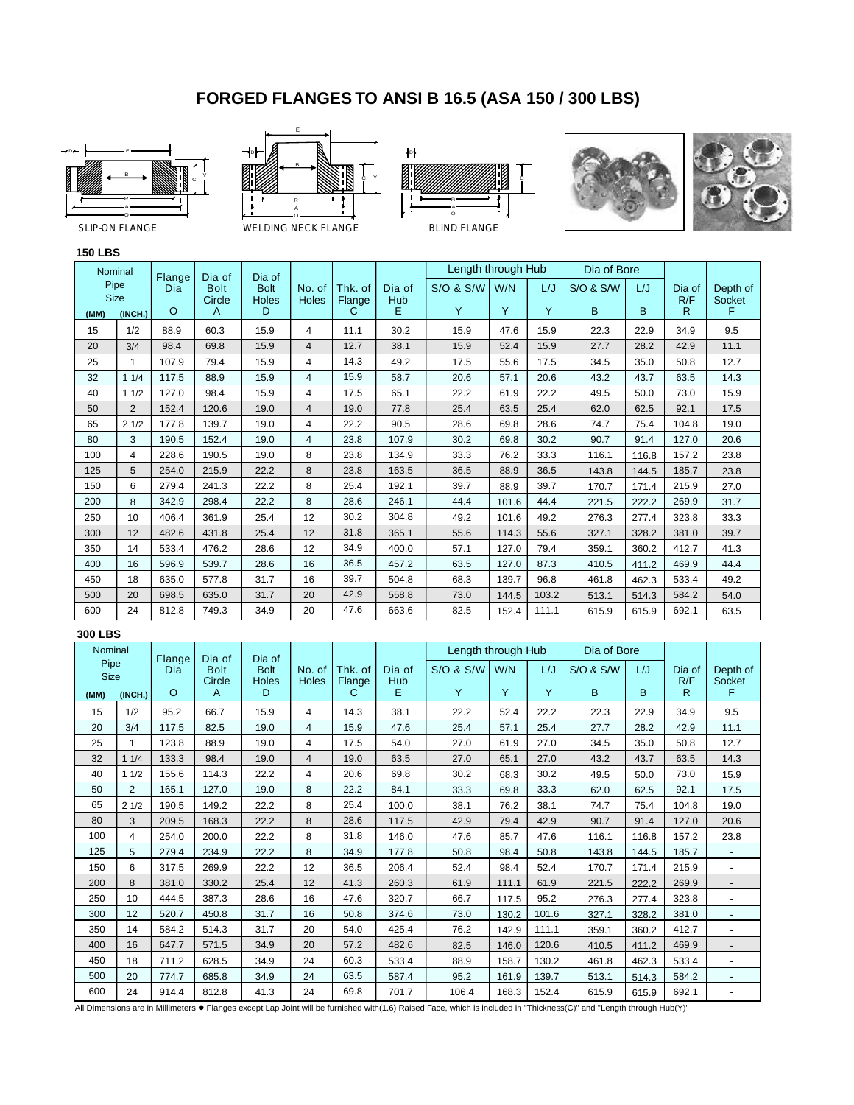## **FORGED FLANGES TO ANSI B 16.5 (ASA 150 / 300 LBS)**









**150 LBS**

#### Nominal Pipe Size Length through Hub | Dia of Bore **(MM) (INCH.)** 15 20 25  $\overline{32}$ 40 50 65 80 100 125 150 200 250 300 350 400 450 500 600 1/2 3/4 1 1 1/4 1 1/2 2 2 1/2 3 4 5 6 8 10 12 14 16 18 20 24 88.9 98.4 107.9 117.5 127.0 152.4 177.8 190.5 228.6 254.0 279.4 342.9 406.4 482.6 533.4 596.9 635.0 698.5 812.8 60.3 69.8 79.4 88.9 98.4 120.6 139.7 152.4 190.5 215.9 241.3 298.4 361.9 431.8 476.2 539.7 577.8 635.0 749.3 15.9 15.9 15.9 15.9 15.9 19.0 19.0 19.0 19.0 22.2 22.2 22.2 25.4 25.4 28.6 28.6 31.7 31.7 34.9 4 4 4 4 4 4 4 4 8 8 8 8 12 12 12 16 16 20 20 11.1 12.7 14.3 15.9 17.5 19.0 22.2 23.8 23.8 23.8 25.4 28.6 30.2 31.8 34.9 36.5 39.7 42.9 47.6 Flange Dia of Dia of Dia of Bolt Bolt No. of Thk. of Dia of S/O & S/W W/N L/J S/O & S/W L/J Dia of Depth of<br>Circle Holes Holes Flange Hub<br>A D C E Y Y Y B B R F Circle Holes Holes Flange Hub R/F Socket O | A | D | | C | E | Y |Y | Y | B | B | R | F 30.2 38.1 49.2 58.7 65.1 77.8 90.5 107.9 134.9 163.5 192.1 246.1 304.8 365.1 400.0 457.2 504.8 558.8 663.6 15.9 15.9 17.5 20.6 22.2 25.4 28.6 30.2 33.3 36.5 39.7 44.4 49.2 55.6 57.1 63.5 68.3 73.0 82.5 47.6 52.4 55.6 57.1 61.9 63.5 69.8 69.8 76.2 88.9 88.9 101.6 101.6 114.3 127.0 127.0 139.7 144.5 152.4 22.3 27.7 34.5 43.2 49.5 62.0 74.7 90.7 116.1 143.8 170.7 221.5 276.3 327.1 359.1 410.5 461.8 513.1 615.9 22.9 28.2 35.0 43.7 50.0 62.5 75.4 91.4 116.8 144.5 171.4 222.2 277.4 328.2 360.2 411.2 462.3 514.3 615.9 34.9 42.9 50.8 63.5 73.0 92.1 104.8 127.0 157.2 185.7 215.9 269.9 323.8 381.0 412.7 469.9 533.4 584.2 692.1 9.5 11.1 12.7 14.3 15.9 17.5 19.0 20.6 23.8 23.8 27.0 31.7 33.3 39.7 41.3 44.4 49.2 54.0 63.5 15.9 15.9 17.5 20.6 22.2 25.4 28.6 30.2 33.3 36.5 39.7 44.4 49.2 55.6 79.4 87.3 96.8 103.2 111.1

## **300 LBS**

| Nominal             |                | Flange   | Dia of      | Dia of      |                |             |          | Length through Hub |       |       | Dia of Bore |       |          |                          |
|---------------------|----------------|----------|-------------|-------------|----------------|-------------|----------|--------------------|-------|-------|-------------|-------|----------|--------------------------|
| Pipe<br><b>Size</b> |                | Dia      | <b>Bolt</b> | <b>Bolt</b> | No. of         | Thk. of     | Dia of   | S/O & S/W          | W/N   | L/J   | S/O & S/W   | L/J   | Dia of   | Depth of                 |
| (MM)                | (INCH.)        | $\Omega$ | Circle<br>A | Holes<br>D  | <b>Holes</b>   | Flange<br>С | Hub<br>E | Y                  | Y     | Y     | B.          | B     | R/F<br>R | Socket<br>F              |
| 15                  | 1/2            | 95.2     | 66.7        | 15.9        | 4              | 14.3        | 38.1     | 22.2               | 52.4  | 22.2  | 22.3        | 22.9  | 34.9     | 9.5                      |
| 20                  | 3/4            | 117.5    | 82.5        | 19.0        | $\overline{4}$ | 15.9        | 47.6     | 25.4               | 57.1  | 25.4  | 27.7        | 28.2  | 42.9     | 11.1                     |
| 25                  | 1              | 123.8    | 88.9        | 19.0        | 4              | 17.5        | 54.0     | 27.0               | 61.9  | 27.0  | 34.5        | 35.0  | 50.8     | 12.7                     |
| 32                  | 11/4           | 133.3    | 98.4        | 19.0        | $\overline{4}$ | 19.0        | 63.5     | 27.0               | 65.1  | 27.0  | 43.2        | 43.7  | 63.5     | 14.3                     |
| 40                  | 11/2           | 155.6    | 114.3       | 22.2        | 4              | 20.6        | 69.8     | 30.2               | 68.3  | 30.2  | 49.5        | 50.0  | 73.0     | 15.9                     |
| 50                  | $\overline{2}$ | 165.1    | 127.0       | 19.0        | 8              | 22.2        | 84.1     | 33.3               | 69.8  | 33.3  | 62.0        | 62.5  | 92.1     | 17.5                     |
| 65                  | 21/2           | 190.5    | 149.2       | 22.2        | 8              | 25.4        | 100.0    | 38.1               | 76.2  | 38.1  | 74.7        | 75.4  | 104.8    | 19.0                     |
| 80                  | 3              | 209.5    | 168.3       | 22.2        | 8              | 28.6        | 117.5    | 42.9               | 79.4  | 42.9  | 90.7        | 91.4  | 127.0    | 20.6                     |
| 100                 | 4              | 254.0    | 200.0       | 22.2        | 8              | 31.8        | 146.0    | 47.6               | 85.7  | 47.6  | 116.1       | 116.8 | 157.2    | 23.8                     |
| 125                 | 5              | 279.4    | 234.9       | 22.2        | 8              | 34.9        | 177.8    | 50.8               | 98.4  | 50.8  | 143.8       | 144.5 | 185.7    |                          |
| 150                 | 6              | 317.5    | 269.9       | 22.2        | 12             | 36.5        | 206.4    | 52.4               | 98.4  | 52.4  | 170.7       | 171.4 | 215.9    |                          |
| 200                 | 8              | 381.0    | 330.2       | 25.4        | 12             | 41.3        | 260.3    | 61.9               | 111.1 | 61.9  | 221.5       | 222.2 | 269.9    |                          |
| 250                 | 10             | 444.5    | 387.3       | 28.6        | 16             | 47.6        | 320.7    | 66.7               | 117.5 | 95.2  | 276.3       | 277.4 | 323.8    |                          |
| 300                 | 12             | 520.7    | 450.8       | 31.7        | 16             | 50.8        | 374.6    | 73.0               | 130.2 | 101.6 | 327.1       | 328.2 | 381.0    |                          |
| 350                 | 14             | 584.2    | 514.3       | 31.7        | 20             | 54.0        | 425.4    | 76.2               | 142.9 | 111.1 | 359.1       | 360.2 | 412.7    |                          |
| 400                 | 16             | 647.7    | 571.5       | 34.9        | 20             | 57.2        | 482.6    | 82.5               | 146.0 | 120.6 | 410.5       | 411.2 | 469.9    |                          |
| 450                 | 18             | 711.2    | 628.5       | 34.9        | 24             | 60.3        | 533.4    | 88.9               | 158.7 | 130.2 | 461.8       | 462.3 | 533.4    |                          |
| 500                 | 20             | 774.7    | 685.8       | 34.9        | 24             | 63.5        | 587.4    | 95.2               | 161.9 | 139.7 | 513.1       | 514.3 | 584.2    | $\overline{\phantom{a}}$ |
| 600                 | 24             | 914.4    | 812.8       | 41.3        | 24             | 69.8        | 701.7    | 106.4              | 168.3 | 152.4 | 615.9       | 615.9 | 692.1    |                          |

All Dimensions are in Millimeters . Flanges except Lap Joint will be furnished with(1.6) Raised Face, which is included in "Thickness(C)" and "Length through Hub(Y)"